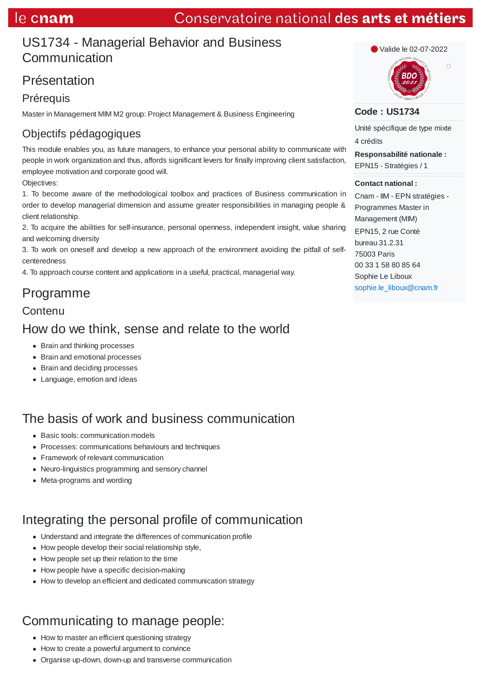# US1734 - Managerial Behavior and Business Communication

# Présentation

### **Prérequis**

Master in Management MIM M2 group: Project Management & Business Engineering

# Objectifs pédagogiques

This module enables you, as future managers, to enhance your personal ability to communicate with people in work organization and thus, affords significant levers for finally improving client satisfaction, employee motivation and corporate good will.

Objectives:

1. To become aware of the methodological toolbox and practices of Business communication in order to develop managerial dimension and assume greater responsibilities in managing people & client relationship.

2. To acquire the abilities for self-insurance, personal openness, independent insight, value sharing and welcoming diversity

3. To work on oneself and develop a new approach of the environment avoiding the pitfall of selfcenteredness

4. To approach course content and applications in a useful, practical, managerial way.

## Programme

#### **Contenu**

## How do we think, sense and relate to the world

- Brain and thinking processes
- Brain and emotional processes
- Brain and deciding processes
- Language, emotion and ideas

# The basis of work and business communication

- Basic tools: communication models
- Processes: communications behaviours and techniques
- Framework of relevant communication
- Neuro-linguistics programming and sensory channel
- Meta-programs and wording

## Integrating the personal profile of communication

- Understand and integrate the differences of communication profile
- How people develop their social relationship style,
- How people set up their relation to the time
- How people have a specific decision-making
- How to develop an efficient and dedicated communication strategy

# Communicating to manage people:

- How to master an efficient questioning strategy
- How to create a powerful argument to convince
- Organise up-down, down-up and transverse communication



Valide le 02-07-2022

 $\circ$ 

#### **Code : US1734**

Unité spécifique de type mixte 4 crédits

**Responsabilité nationale :** EPN15 - Stratégies / 1

#### **Contact national :**

Cnam - IIM - EPN stratégies - Programmes Master in Management (MIM) EPN15, 2 rue Conté bureau 31.2.31 75003 Paris 00 33 1 58 80 85 64 Sophie Le Liboux sophie.le\_liboux@cnam.fr